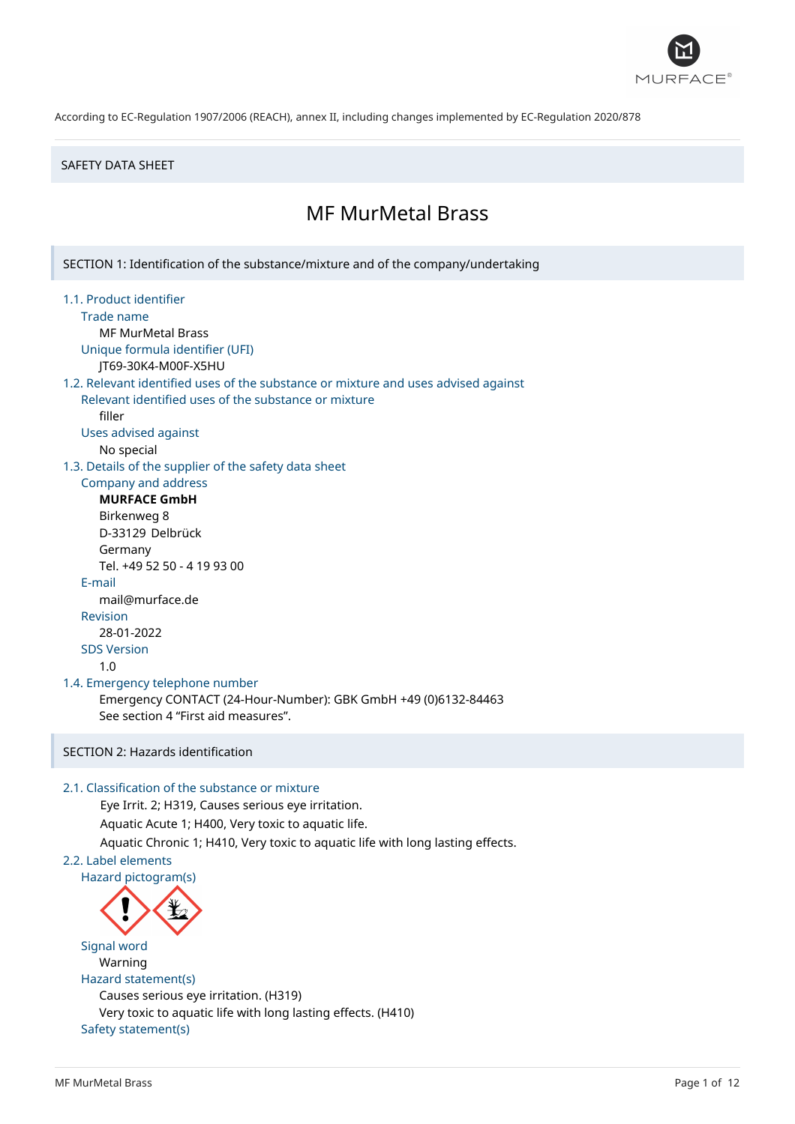

### SAFETY DATA SHEET

# MF MurMetal Brass

SECTION 1: Identification of the substance/mixture and of the company/undertaking

- 1.1. Product identifier
	- Trade name

MF MurMetal Brass

Unique formula identifier (UFI)

JT69-30K4-M00F-X5HU

### 1.2. Relevant identified uses of the substance or mixture and uses advised against

Relevant identified uses of the substance or mixture filler

Uses advised against

No special

1.3. Details of the supplier of the safety data sheet

### Company and address **MURFACE GmbH**

Birkenweg 8 D-33129 Delbrück Germany Tel. +49 52 50 - 4 19 93 00 E-mail mail@murface.de Revision 28-01-2022 SDS Version 1.0

#### 1.4. Emergency telephone number

Emergency CONTACT (24-Hour-Number): GBK GmbH +49 (0)6132-84463 See section 4 "First aid measures".

### SECTION 2: Hazards identification

### 2.1. Classification of the substance or mixture

Eye Irrit. 2; H319, Causes serious eye irritation. Aquatic Acute 1; H400, Very toxic to aquatic life. Aquatic Chronic 1; H410, Very toxic to aquatic life with long lasting effects.

# 2.2. Label elements

Hazard pictogram(s)



Signal word Warning Hazard statement(s) Causes serious eye irritation. (H319) Very toxic to aquatic life with long lasting effects. (H410) Safety statement(s)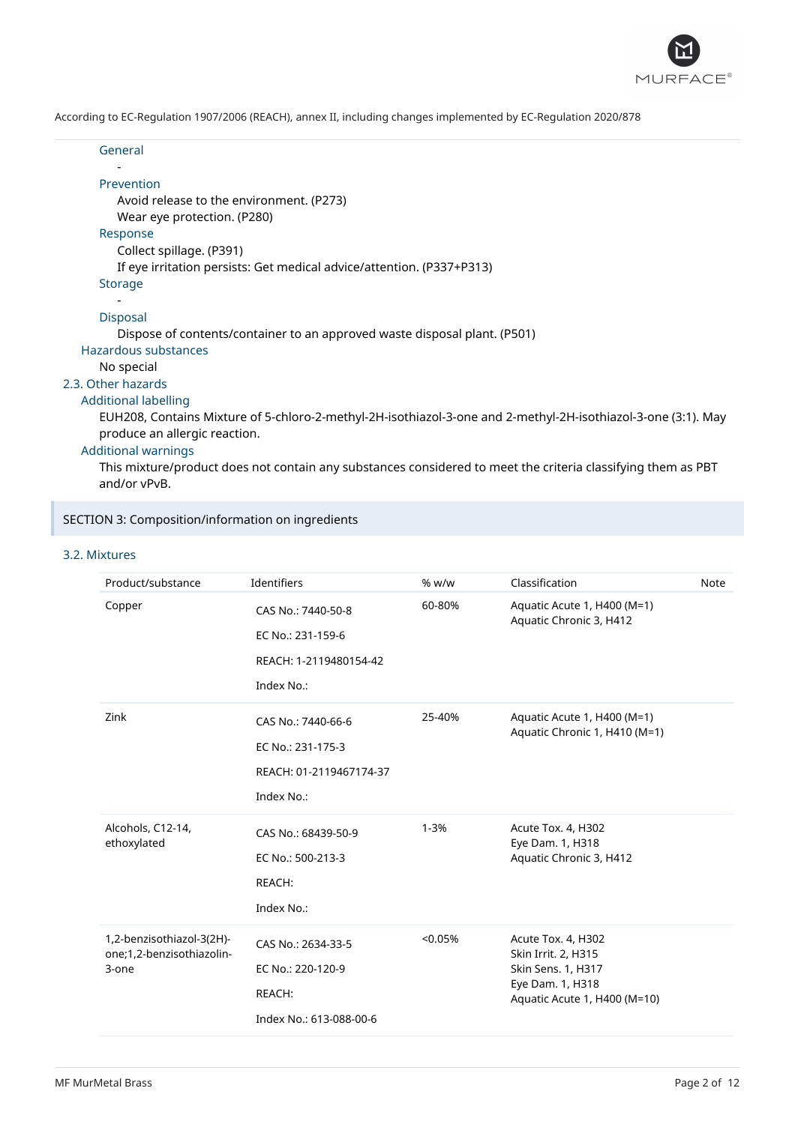

| General                                                                                                                                        |
|------------------------------------------------------------------------------------------------------------------------------------------------|
| Prevention                                                                                                                                     |
| Avoid release to the environment. (P273)                                                                                                       |
| Wear eye protection. (P280)<br>Response                                                                                                        |
| Collect spillage. (P391)                                                                                                                       |
| If eye irritation persists: Get medical advice/attention. (P337+P313)                                                                          |
| Storage                                                                                                                                        |
|                                                                                                                                                |
| <b>Disposal</b>                                                                                                                                |
| Dispose of contents/container to an approved waste disposal plant. (P501)                                                                      |
| Hazardous substances                                                                                                                           |
| No special                                                                                                                                     |
| 2.3. Other hazards                                                                                                                             |
| <b>Additional labelling</b>                                                                                                                    |
| EUH208, Contains Mixture of 5-chloro-2-methyl-2H-isothiazol-3-one and 2-methyl-2H-isothiazol-3-one (3:1). May<br>produce an allergic reaction. |
| <b>Additional warnings</b>                                                                                                                     |
|                                                                                                                                                |

This mixture/product does not contain any substances considered to meet the criteria classifying them as PBT and/or vPvB.

### SECTION 3: Composition/information on ingredients

### 3.2. Mixtures

| Product/substance                                               | Identifiers                                                                      | % w/w    | Classification                                                                                                      | <b>Note</b> |
|-----------------------------------------------------------------|----------------------------------------------------------------------------------|----------|---------------------------------------------------------------------------------------------------------------------|-------------|
| Copper                                                          | CAS No.: 7440-50-8<br>EC No.: 231-159-6<br>REACH: 1-2119480154-42<br>Index No.:  | 60-80%   | Aquatic Acute 1, H400 (M=1)<br>Aquatic Chronic 3, H412                                                              |             |
| Zink                                                            | CAS No.: 7440-66-6<br>EC No.: 231-175-3<br>REACH: 01-2119467174-37<br>Index No.: | 25-40%   | Aquatic Acute 1, H400 (M=1)<br>Aquatic Chronic 1, H410 (M=1)                                                        |             |
| Alcohols, C12-14,<br>ethoxylated                                | CAS No.: 68439-50-9<br>EC No.: 500-213-3<br>REACH:<br>Index No.:                 | $1 - 3%$ | Acute Tox. 4, H302<br>Eye Dam. 1, H318<br>Aquatic Chronic 3, H412                                                   |             |
| 1,2-benzisothiazol-3(2H)-<br>one;1,2-benzisothiazolin-<br>3-one | CAS No.: 2634-33-5<br>EC No.: 220-120-9<br>REACH:<br>Index No.: 613-088-00-6     | < 0.05%  | Acute Tox. 4, H302<br>Skin Irrit. 2, H315<br>Skin Sens. 1, H317<br>Eye Dam. 1, H318<br>Aquatic Acute 1, H400 (M=10) |             |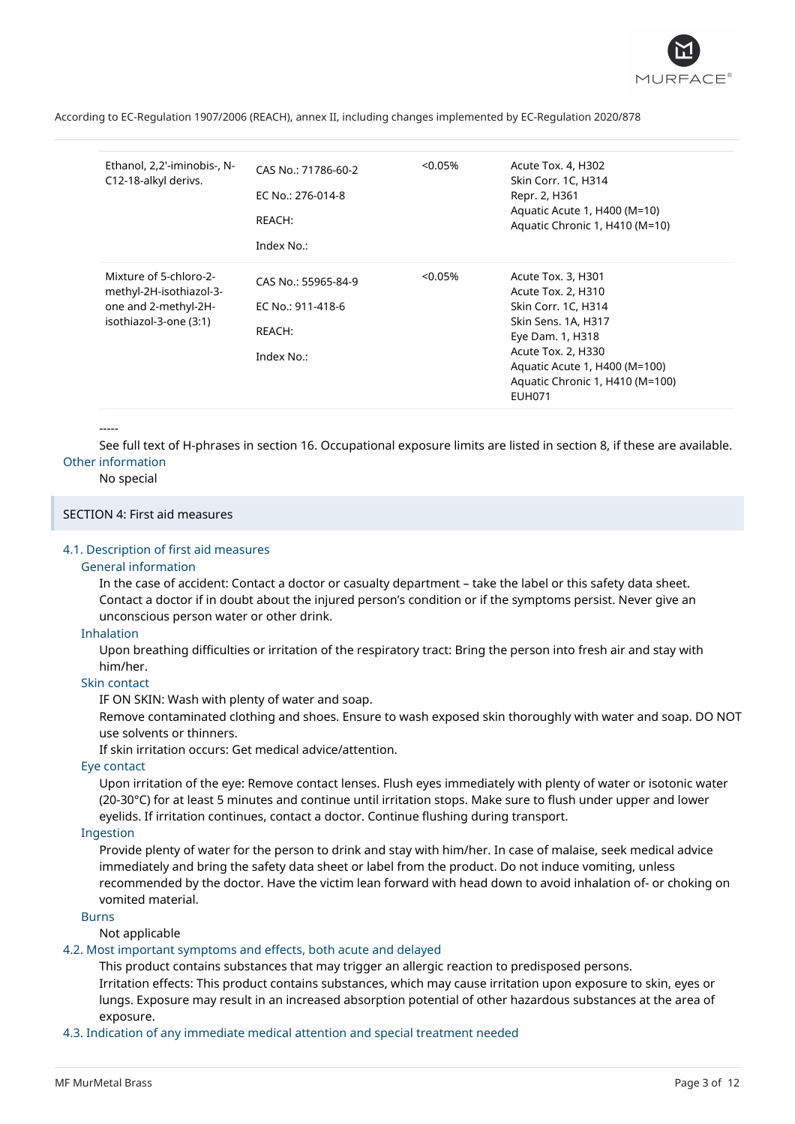

| Ethanol, 2,2'-iminobis-, N-<br>C12-18-alkyl derivs.                                                 | CAS No.: 71786-60-2<br>EC No.: 276-014-8<br>REACH:<br>Index No.: | $< 0.05\%$ | Acute Tox. 4, H302<br>Skin Corr. 1C, H314<br>Repr. 2, H361<br>Aquatic Acute 1, H400 (M=10)<br>Aquatic Chronic 1, H410 (M=10)                                                                                          |
|-----------------------------------------------------------------------------------------------------|------------------------------------------------------------------|------------|-----------------------------------------------------------------------------------------------------------------------------------------------------------------------------------------------------------------------|
| Mixture of 5-chloro-2-<br>methyl-2H-isothiazol-3-<br>one and 2-methyl-2H-<br>isothiazol-3-one (3:1) | CAS No.: 55965-84-9<br>EC No.: 911-418-6<br>REACH:<br>Index No.: | $< 0.05\%$ | Acute Tox. 3, H301<br>Acute Tox. 2, H310<br>Skin Corr. 1C, H314<br>Skin Sens. 1A, H317<br>Eye Dam. 1, H318<br>Acute Tox. 2, H330<br>Aquatic Acute 1, H400 (M=100)<br>Aquatic Chronic 1, H410 (M=100)<br><b>EUH071</b> |

#### -----

See full text of H-phrases in section 16. Occupational exposure limits are listed in section 8, if these are available. Other information

#### No special

### SECTION 4: First aid measures

#### 4.1. Description of first aid measures

#### General information

In the case of accident: Contact a doctor or casualty department – take the label or this safety data sheet. Contact a doctor if in doubt about the injured person's condition or if the symptoms persist. Never give an unconscious person water or other drink.

#### Inhalation

Upon breathing difficulties or irritation of the respiratory tract: Bring the person into fresh air and stay with him/her.

### Skin contact

IF ON SKIN: Wash with plenty of water and soap.

Remove contaminated clothing and shoes. Ensure to wash exposed skin thoroughly with water and soap. DO NOT use solvents or thinners.

If skin irritation occurs: Get medical advice/attention.

### Eye contact

Upon irritation of the eye: Remove contact lenses. Flush eyes immediately with plenty of water or isotonic water (20-30°C) for at least 5 minutes and continue until irritation stops. Make sure to flush under upper and lower eyelids. If irritation continues, contact a doctor. Continue flushing during transport.

### Ingestion

Provide plenty of water for the person to drink and stay with him/her. In case of malaise, seek medical advice immediately and bring the safety data sheet or label from the product. Do not induce vomiting, unless recommended by the doctor. Have the victim lean forward with head down to avoid inhalation of- or choking on vomited material.

### Burns

Not applicable

#### 4.2. Most important symptoms and effects, both acute and delayed

This product contains substances that may trigger an allergic reaction to predisposed persons. Irritation effects: This product contains substances, which may cause irritation upon exposure to skin, eyes or lungs. Exposure may result in an increased absorption potential of other hazardous substances at the area of exposure.

4.3. Indication of any immediate medical attention and special treatment needed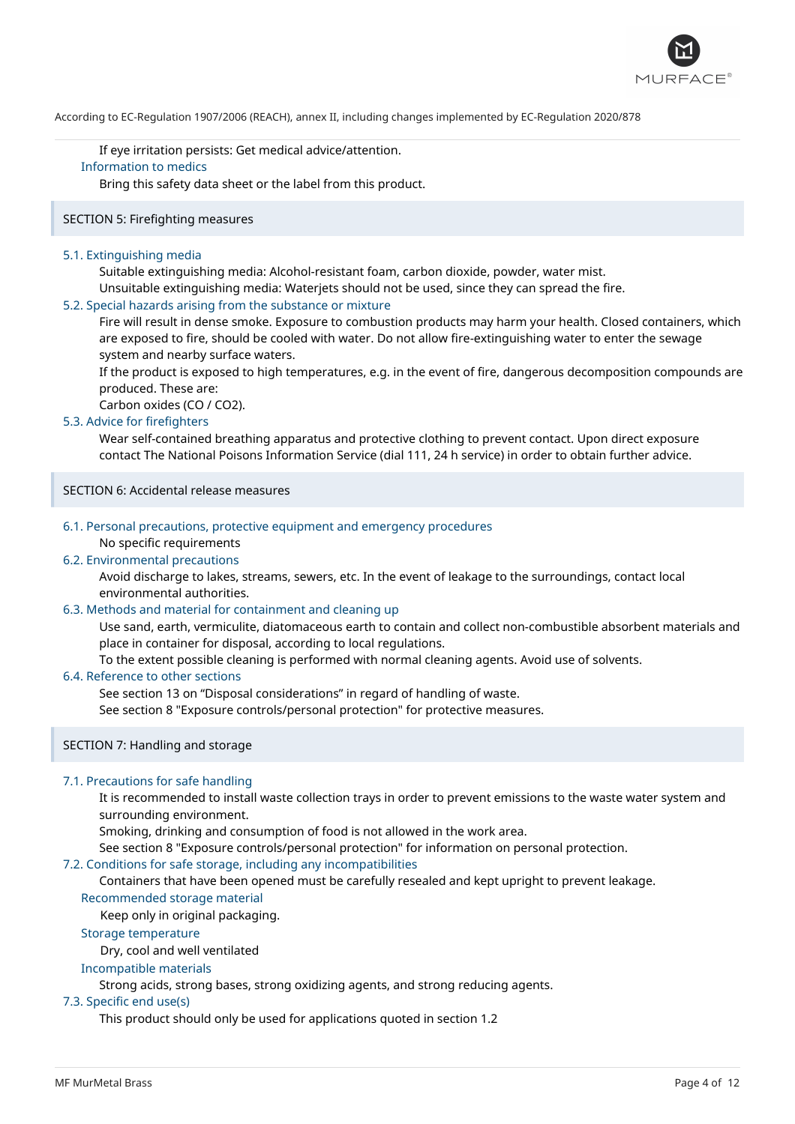

If eye irritation persists: Get medical advice/attention. Information to medics

Bring this safety data sheet or the label from this product.

### SECTION 5: Firefighting measures

### 5.1. Extinguishing media

Suitable extinguishing media: Alcohol-resistant foam, carbon dioxide, powder, water mist. Unsuitable extinguishing media: Waterjets should not be used, since they can spread the fire.

### 5.2. Special hazards arising from the substance or mixture

Fire will result in dense smoke. Exposure to combustion products may harm your health. Closed containers, which are exposed to fire, should be cooled with water. Do not allow fire-extinguishing water to enter the sewage system and nearby surface waters.

If the product is exposed to high temperatures, e.g. in the event of fire, dangerous decomposition compounds are produced. These are:

Carbon oxides (CO / CO2).

### 5.3. Advice for firefighters

Wear self-contained breathing apparatus and protective clothing to prevent contact. Upon direct exposure contact The National Poisons Information Service (dial 111, 24 h service) in order to obtain further advice.

### SECTION 6: Accidental release measures

### 6.1. Personal precautions, protective equipment and emergency procedures

### No specific requirements

### 6.2. Environmental precautions

Avoid discharge to lakes, streams, sewers, etc. In the event of leakage to the surroundings, contact local environmental authorities.

### 6.3. Methods and material for containment and cleaning up

Use sand, earth, vermiculite, diatomaceous earth to contain and collect non-combustible absorbent materials and place in container for disposal, according to local regulations.

To the extent possible cleaning is performed with normal cleaning agents. Avoid use of solvents.

### 6.4. Reference to other sections

See section 13 on "Disposal considerations" in regard of handling of waste.

See section 8 "Exposure controls/personal protection" for protective measures.

### SECTION 7: Handling and storage

### 7.1. Precautions for safe handling

It is recommended to install waste collection trays in order to prevent emissions to the waste water system and surrounding environment.

Smoking, drinking and consumption of food is not allowed in the work area.

See section 8 "Exposure controls/personal protection" for information on personal protection.

#### 7.2. Conditions for safe storage, including any incompatibilities

Containers that have been opened must be carefully resealed and kept upright to prevent leakage.

### Recommended storage material

Keep only in original packaging.

### Storage temperature

Dry, cool and well ventilated

### Incompatible materials

Strong acids, strong bases, strong oxidizing agents, and strong reducing agents.

### 7.3. Specific end use(s)

This product should only be used for applications quoted in section 1.2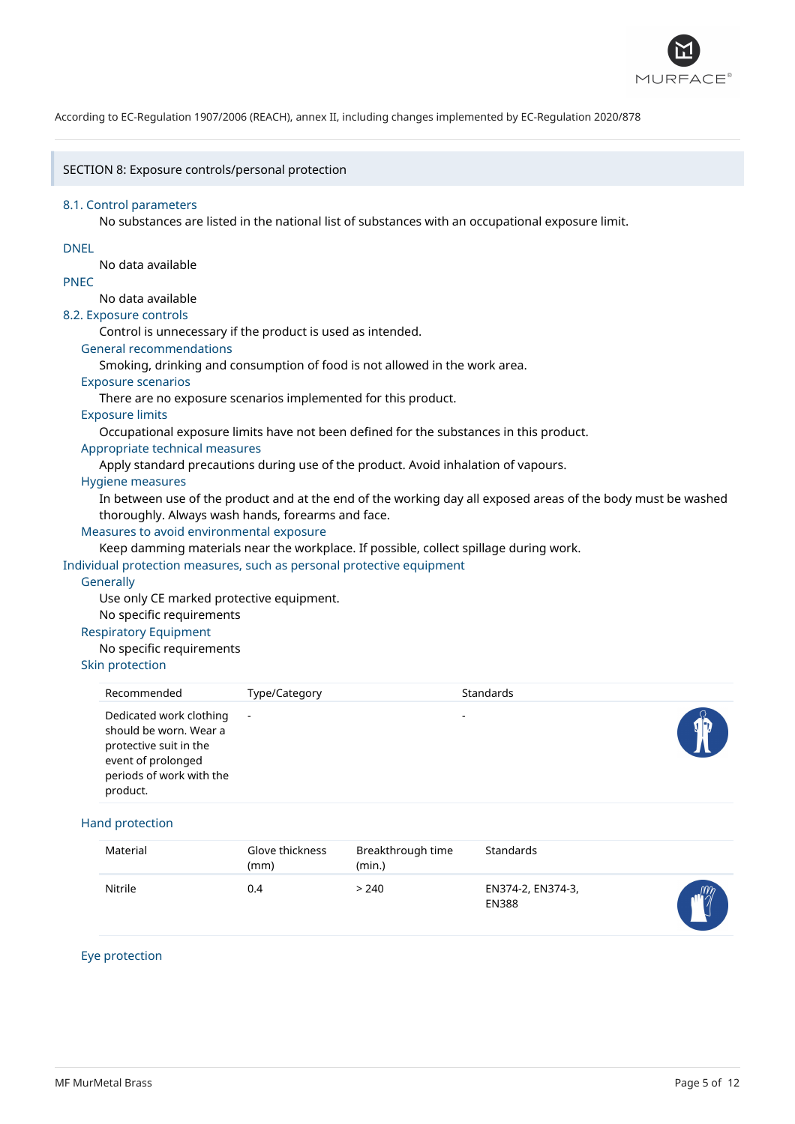

### SECTION 8: Exposure controls/personal protection

#### 8.1. Control parameters

No substances are listed in the national list of substances with an occupational exposure limit.

### DNEL

No data available

### PNEC

### No data available

8.2. Exposure controls

Control is unnecessary if the product is used as intended.

### General recommendations

Smoking, drinking and consumption of food is not allowed in the work area.

### Exposure scenarios

There are no exposure scenarios implemented for this product.

### Exposure limits

Occupational exposure limits have not been defined for the substances in this product.

### Appropriate technical measures

Apply standard precautions during use of the product. Avoid inhalation of vapours.

### Hygiene measures

In between use of the product and at the end of the working day all exposed areas of the body must be washed thoroughly. Always wash hands, forearms and face.

### Measures to avoid environmental exposure

Keep damming materials near the workplace. If possible, collect spillage during work.

Individual protection measures, such as personal protective equipment

### **Generally**

Use only CE marked protective equipment.

No specific requirements

### Respiratory Equipment

No specific requirements

### Skin protection

| Recommended                                                                                                                               | Type/Category | Standards                |  |
|-------------------------------------------------------------------------------------------------------------------------------------------|---------------|--------------------------|--|
| Dedicated work clothing<br>should be worn. Wear a<br>protective suit in the<br>event of prolonged<br>periods of work with the<br>product. | $\sim$        | $\overline{\phantom{a}}$ |  |

### Hand protection

| Material | Glove thickness<br>(mm) | Breakthrough time<br>(min.) | Standards                         |                 |
|----------|-------------------------|-----------------------------|-----------------------------------|-----------------|
| Nitrile  | 0.4                     | > 240                       | EN374-2, EN374-3,<br><b>EN388</b> | $m_{\tilde{z}}$ |

### Eye protection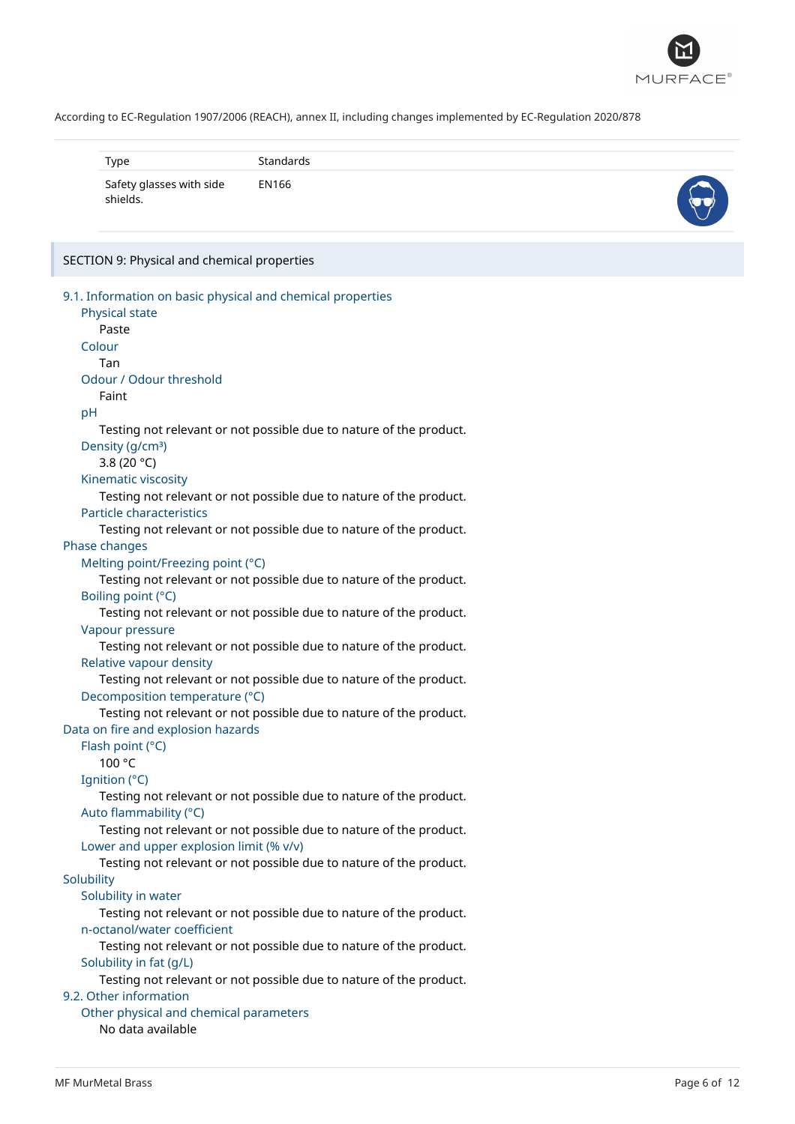

| Type                                 | Standards |  |
|--------------------------------------|-----------|--|
| Safety glasses with side<br>shields. | EN166     |  |

# SECTION 9: Physical and chemical properties

| 9.1. Information on basic physical and chemical properties                                     |  |
|------------------------------------------------------------------------------------------------|--|
| Physical state                                                                                 |  |
| Paste                                                                                          |  |
| Colour                                                                                         |  |
| Tan                                                                                            |  |
| Odour / Odour threshold                                                                        |  |
| Faint                                                                                          |  |
| рH                                                                                             |  |
| Testing not relevant or not possible due to nature of the product.                             |  |
| Density (g/cm <sup>3</sup> )                                                                   |  |
| 3.8 (20 °C)                                                                                    |  |
| Kinematic viscosity                                                                            |  |
|                                                                                                |  |
| Testing not relevant or not possible due to nature of the product.<br>Particle characteristics |  |
| Testing not relevant or not possible due to nature of the product.                             |  |
| Phase changes                                                                                  |  |
| Melting point/Freezing point (°C)                                                              |  |
| Testing not relevant or not possible due to nature of the product.                             |  |
| Boiling point (°C)                                                                             |  |
| Testing not relevant or not possible due to nature of the product.                             |  |
| Vapour pressure                                                                                |  |
| Testing not relevant or not possible due to nature of the product.                             |  |
| Relative vapour density                                                                        |  |
| Testing not relevant or not possible due to nature of the product.                             |  |
| Decomposition temperature (°C)                                                                 |  |
| Testing not relevant or not possible due to nature of the product.                             |  |
| Data on fire and explosion hazards                                                             |  |
| Flash point (°C)                                                                               |  |
| 100 °C                                                                                         |  |
| Ignition (°C)                                                                                  |  |
| Testing not relevant or not possible due to nature of the product.                             |  |
| Auto flammability (°C)                                                                         |  |
| Testing not relevant or not possible due to nature of the product.                             |  |
| Lower and upper explosion limit (% v/v)                                                        |  |
| Testing not relevant or not possible due to nature of the product.                             |  |
| Solubility                                                                                     |  |
| Solubility in water                                                                            |  |
| Testing not relevant or not possible due to nature of the product.                             |  |
| n-octanol/water coefficient                                                                    |  |
| Testing not relevant or not possible due to nature of the product.                             |  |
| Solubility in fat (g/L)                                                                        |  |
| Testing not relevant or not possible due to nature of the product.                             |  |
| 9.2. Other information                                                                         |  |
| Other physical and chemical parameters                                                         |  |
| No data available                                                                              |  |
|                                                                                                |  |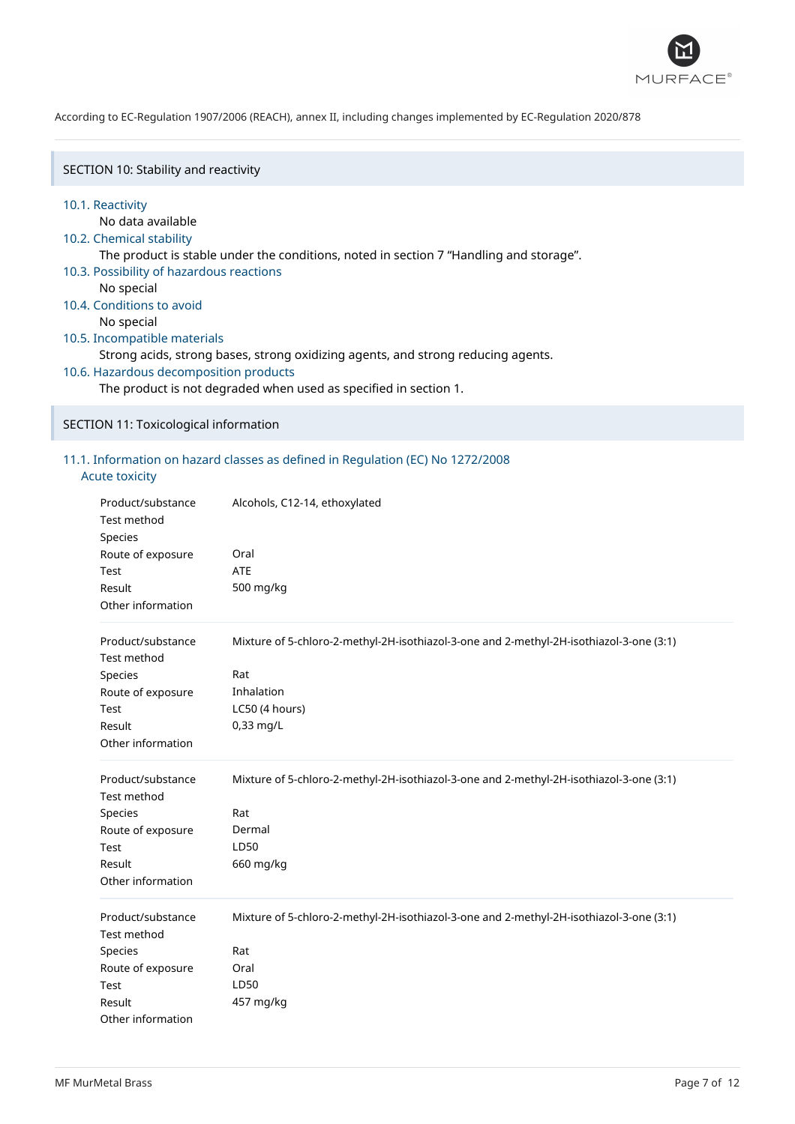

SECTION 10: Stability and reactivity

#### 10.1. Reactivity

No data available

### 10.2. Chemical stability

The product is stable under the conditions, noted in section 7 "Handling and storage".

- 10.3. Possibility of hazardous reactions
	- No special
- 10.4. Conditions to avoid

No special

### 10.5. Incompatible materials

Strong acids, strong bases, strong oxidizing agents, and strong reducing agents.

10.6. Hazardous decomposition products

The product is not degraded when used as specified in section 1.

SECTION 11: Toxicological information

### 11.1. Information on hazard classes as defined in Regulation (EC) No 1272/2008

### Acute toxicity

| Product/substance<br><b>Test method</b><br>Species<br>Route of exposure<br>Test<br>Result<br>Other information | Alcohols, C12-14, ethoxylated<br>Oral<br><b>ATE</b><br>500 mg/kg                                                                            |
|----------------------------------------------------------------------------------------------------------------|---------------------------------------------------------------------------------------------------------------------------------------------|
| Product/substance<br>Test method<br>Species<br>Route of exposure<br>Test<br>Result<br>Other information        | Mixture of 5-chloro-2-methyl-2H-isothiazol-3-one and 2-methyl-2H-isothiazol-3-one (3:1)<br>Rat<br>Inhalation<br>LC50 (4 hours)<br>0,33 mg/L |
| Product/substance<br>Test method<br>Species<br>Route of exposure<br>Test<br>Result<br>Other information        | Mixture of 5-chloro-2-methyl-2H-isothiazol-3-one and 2-methyl-2H-isothiazol-3-one (3:1)<br>Rat<br>Dermal<br>LD50<br>660 mg/kg               |
| Product/substance<br>Test method<br>Species<br>Route of exposure<br>Test<br>Result<br>Other information        | Mixture of 5-chloro-2-methyl-2H-isothiazol-3-one and 2-methyl-2H-isothiazol-3-one (3:1)<br>Rat<br>Oral<br>LD50<br>457 mg/kg                 |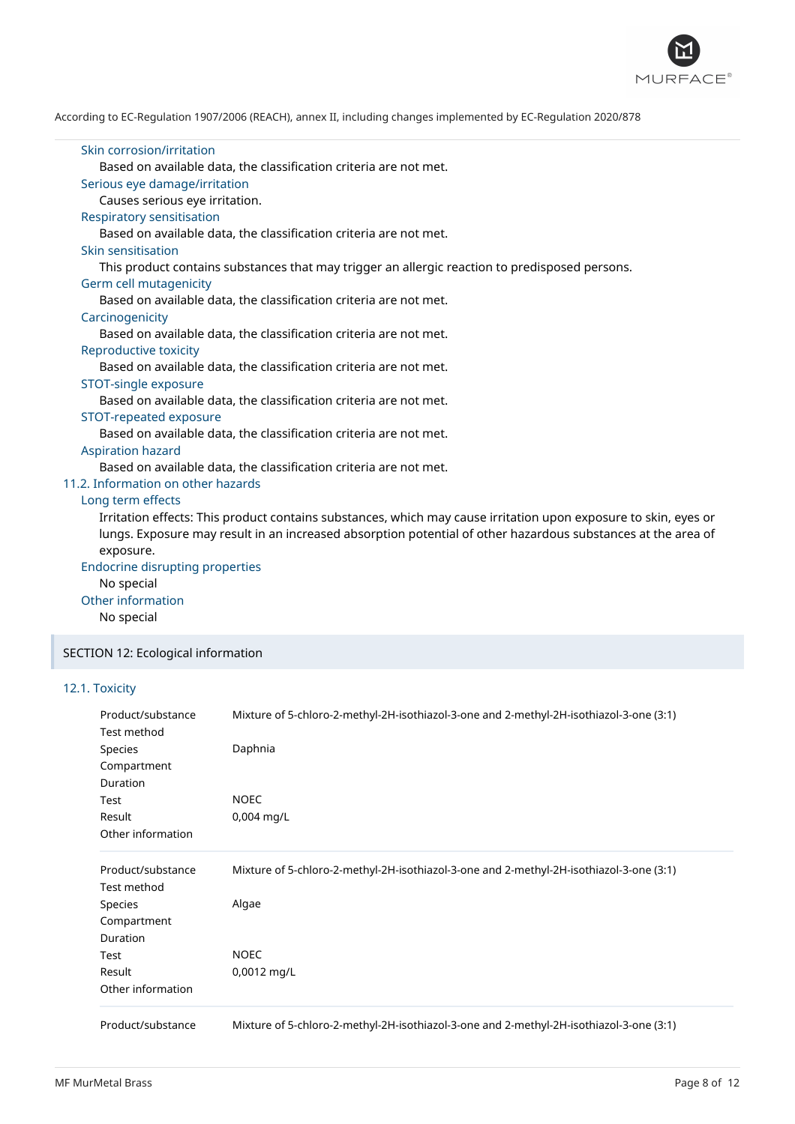

### Skin corrosion/irritation Based on available data, the classification criteria are not met. Serious eye damage/irritation Causes serious eye irritation. Respiratory sensitisation Based on available data, the classification criteria are not met. Skin sensitisation This product contains substances that may trigger an allergic reaction to predisposed persons. Germ cell mutagenicity Based on available data, the classification criteria are not met. **Carcinogenicity** Based on available data, the classification criteria are not met. Reproductive toxicity Based on available data, the classification criteria are not met. STOT-single exposure Based on available data, the classification criteria are not met. STOT-repeated exposure Based on available data, the classification criteria are not met. Aspiration hazard Based on available data, the classification criteria are not met. 11.2. Information on other hazards Long term effects Irritation effects: This product contains substances, which may cause irritation upon exposure to skin, eyes or lungs. Exposure may result in an increased absorption potential of other hazardous substances at the area of exposure. Endocrine disrupting properties No special Other information No special SECTION 12: Ecological information

### 12.1. Toxicity

| Product/substance | Mixture of 5-chloro-2-methyl-2H-isothiazol-3-one and 2-methyl-2H-isothiazol-3-one (3:1) |  |  |  |  |  |
|-------------------|-----------------------------------------------------------------------------------------|--|--|--|--|--|
| Test method       |                                                                                         |  |  |  |  |  |
| <b>Species</b>    | Daphnia                                                                                 |  |  |  |  |  |
| Compartment       |                                                                                         |  |  |  |  |  |
| Duration          |                                                                                         |  |  |  |  |  |
| Test              | <b>NOEC</b>                                                                             |  |  |  |  |  |
| Result            | 0,004 mg/L                                                                              |  |  |  |  |  |
| Other information |                                                                                         |  |  |  |  |  |
| Product/substance | Mixture of 5-chloro-2-methyl-2H-isothiazol-3-one and 2-methyl-2H-isothiazol-3-one (3:1) |  |  |  |  |  |
| Test method       |                                                                                         |  |  |  |  |  |
| Species           | Algae                                                                                   |  |  |  |  |  |
| Compartment       |                                                                                         |  |  |  |  |  |
| <b>Duration</b>   |                                                                                         |  |  |  |  |  |
| Test              | <b>NOEC</b>                                                                             |  |  |  |  |  |
| Result            | 0,0012 mg/L                                                                             |  |  |  |  |  |
| Other information |                                                                                         |  |  |  |  |  |
| Product/substance | Mixture of 5-chloro-2-methyl-2H-isothiazol-3-one and 2-methyl-2H-isothiazol-3-one (3:1) |  |  |  |  |  |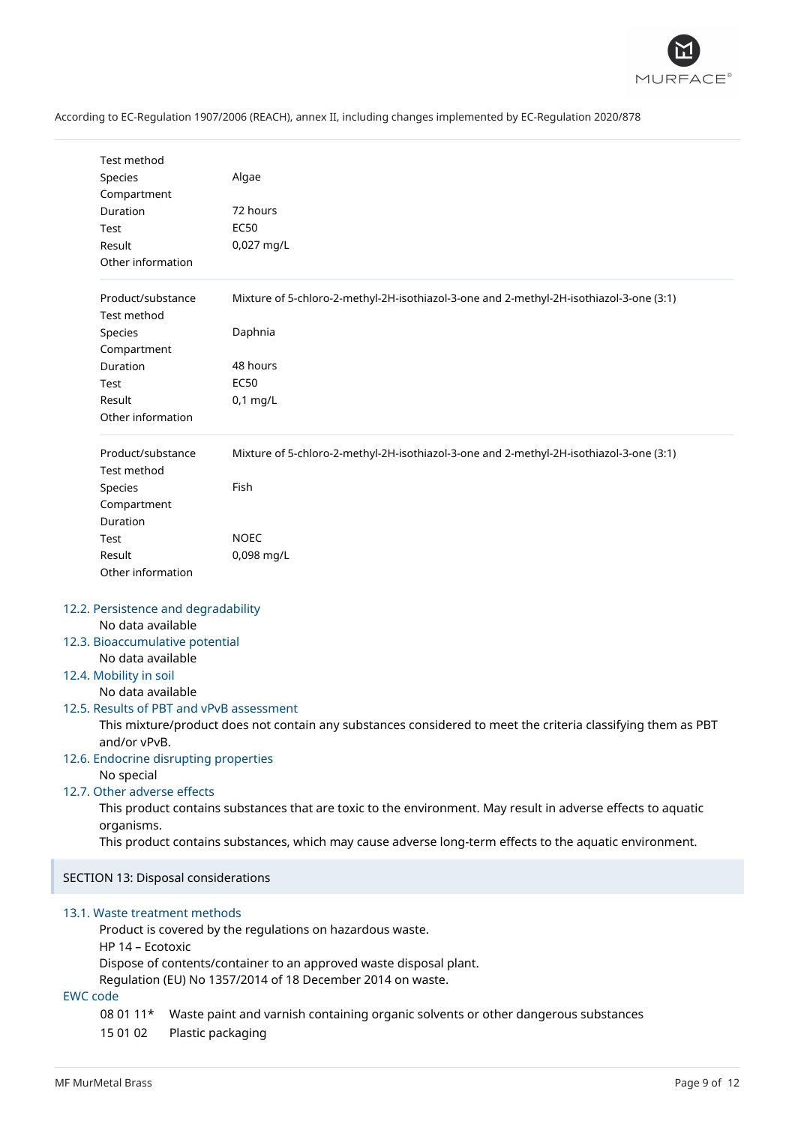

| Test method                     |                                                                                                              |  |  |  |
|---------------------------------|--------------------------------------------------------------------------------------------------------------|--|--|--|
| Species                         | Algae                                                                                                        |  |  |  |
| Compartment                     |                                                                                                              |  |  |  |
| Duration                        | 72 hours                                                                                                     |  |  |  |
| Test                            | <b>EC50</b>                                                                                                  |  |  |  |
| Result                          | 0,027 mg/L                                                                                                   |  |  |  |
| Other information               |                                                                                                              |  |  |  |
|                                 |                                                                                                              |  |  |  |
| Product/substance               | Mixture of 5-chloro-2-methyl-2H-isothiazol-3-one and 2-methyl-2H-isothiazol-3-one (3:1)                      |  |  |  |
| Test method                     |                                                                                                              |  |  |  |
| Species                         | Daphnia                                                                                                      |  |  |  |
| Compartment                     |                                                                                                              |  |  |  |
| Duration                        | 48 hours                                                                                                     |  |  |  |
| Test                            | <b>EC50</b>                                                                                                  |  |  |  |
| Result                          | $0,1$ mg/L                                                                                                   |  |  |  |
| Other information               |                                                                                                              |  |  |  |
|                                 |                                                                                                              |  |  |  |
| Product/substance               | Mixture of 5-chloro-2-methyl-2H-isothiazol-3-one and 2-methyl-2H-isothiazol-3-one (3:1)                      |  |  |  |
| Test method                     |                                                                                                              |  |  |  |
| Species                         | Fish                                                                                                         |  |  |  |
| Compartment                     |                                                                                                              |  |  |  |
| Duration                        |                                                                                                              |  |  |  |
| Test                            | <b>NOEC</b>                                                                                                  |  |  |  |
| Result                          | 0,098 mg/L                                                                                                   |  |  |  |
| Other information               |                                                                                                              |  |  |  |
| No data available               | 12.2. Persistence and degradability                                                                          |  |  |  |
| 12.3. Bioaccumulative potential |                                                                                                              |  |  |  |
| No data available               |                                                                                                              |  |  |  |
| 12.4. Mobility in soil          |                                                                                                              |  |  |  |
| No data available               |                                                                                                              |  |  |  |
|                                 | 12.5. Results of PBT and vPvB assessment                                                                     |  |  |  |
| and/or vPvB.                    | This mixture/product does not contain any substances considered to meet the criteria classifying them as PBT |  |  |  |
|                                 | 12.6. Endocrine disrupting properties                                                                        |  |  |  |
| No special                      |                                                                                                              |  |  |  |
| 12.7. Other adverse effects     |                                                                                                              |  |  |  |
|                                 | This product contains substances that are toxic to the environment. May result in adverse effects to aquatic |  |  |  |
| organisms.                      |                                                                                                              |  |  |  |
|                                 | This product contains substances, which may cause adverse long-term effects to the aquatic environment.      |  |  |  |
|                                 | SECTION 13: Disposal considerations                                                                          |  |  |  |
|                                 |                                                                                                              |  |  |  |
| 13.1. Waste treatment methods   |                                                                                                              |  |  |  |
|                                 | Product is covered by the regulations on hazardous waste.                                                    |  |  |  |
| HP 14 - Ecotoxic                |                                                                                                              |  |  |  |
|                                 | Dispose of contents/container to an approved waste disposal plant.                                           |  |  |  |
|                                 | Regulation (EU) No 1357/2014 of 18 December 2014 on waste.                                                   |  |  |  |
| <b>EWC</b> code                 |                                                                                                              |  |  |  |
| 08 01 11*<br>15 01 02           | Waste paint and varnish containing organic solvents or other dangerous substances<br>Plastic packaging       |  |  |  |
|                                 |                                                                                                              |  |  |  |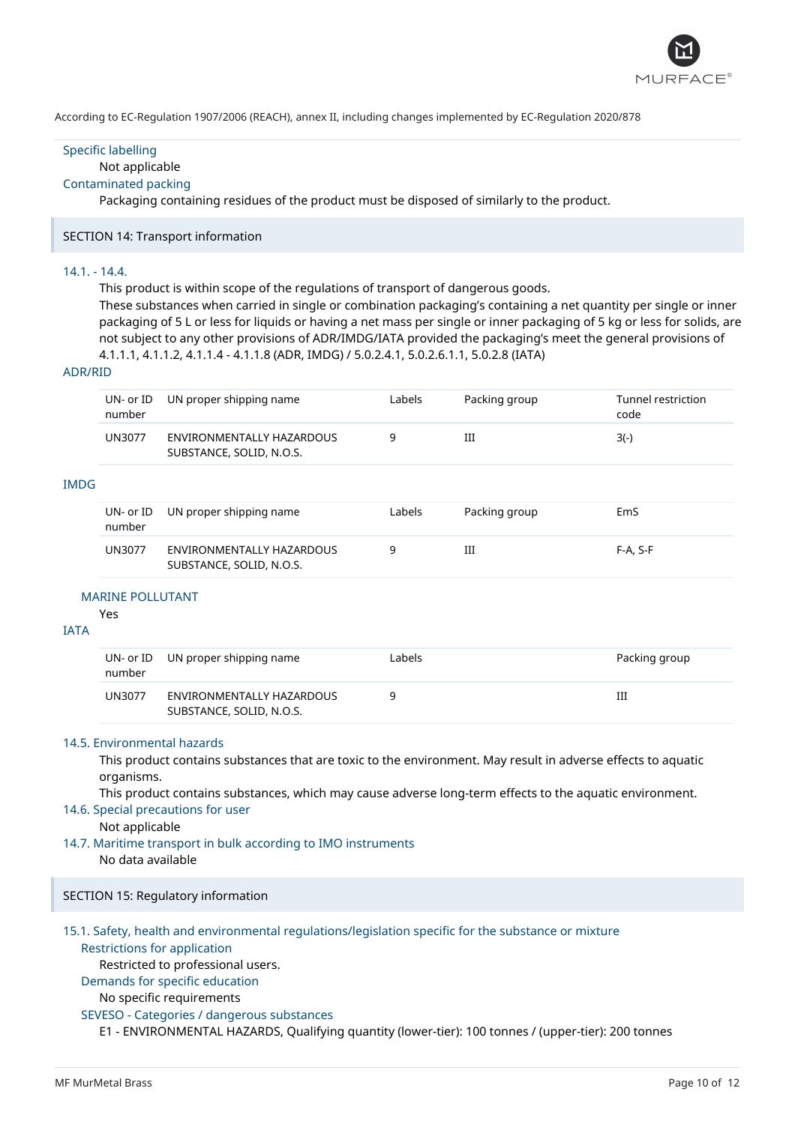

### Specific labelling

### Not applicable

### Contaminated packing

Packaging containing residues of the product must be disposed of similarly to the product.

### SECTION 14: Transport information

### 14.1. - 14.4.

This product is within scope of the regulations of transport of dangerous goods.

These substances when carried in single or combination packaging's containing a net quantity per single or inner packaging of 5 L or less for liquids or having a net mass per single or inner packaging of 5 kg or less for solids, are not subject to any other provisions of ADR/IMDG/IATA provided the packaging's meet the general provisions of 4.1.1.1, 4.1.1.2, 4.1.1.4 - 4.1.1.8 (ADR, IMDG) / 5.0.2.4.1, 5.0.2.6.1.1, 5.0.2.8 (IATA)

#### ADR/RID

| UN- or ID<br>number | UN proper shipping name                               | Labels | Packing group | Tunnel restriction<br>code |
|---------------------|-------------------------------------------------------|--------|---------------|----------------------------|
| <b>UN3077</b>       | ENVIRONMENTALLY HAZARDOUS<br>SUBSTANCE, SOLID, N.O.S. |        | Ш             | $3(-)$                     |
|                     |                                                       |        |               |                            |

### IMDG

| number | UN- or ID UN proper shipping name                     | Labels | Packing group | EmS        |
|--------|-------------------------------------------------------|--------|---------------|------------|
| UN3077 | ENVIRONMENTALLY HAZARDOUS<br>SUBSTANCE, SOLID, N.O.S. |        | Ш             | $F-A. S-F$ |

#### MARINE POLLUTANT

Yes

### IATA

| number        | UN- or ID UN proper shipping name                     | Labels | Packing group |
|---------------|-------------------------------------------------------|--------|---------------|
| <b>UN3077</b> | ENVIRONMENTALLY HAZARDOUS<br>SUBSTANCE, SOLID, N.O.S. |        | Ш             |

### 14.5. Environmental hazards

This product contains substances that are toxic to the environment. May result in adverse effects to aquatic organisms.

This product contains substances, which may cause adverse long-term effects to the aquatic environment.

### 14.6. Special precautions for user

Not applicable

14.7. Maritime transport in bulk according to IMO instruments

No data available

### SECTION 15: Regulatory information

### 15.1. Safety, health and environmental regulations/legislation specific for the substance or mixture

# Restrictions for application

Restricted to professional users.

## Demands for specific education

### No specific requirements

### SEVESO - Categories / dangerous substances

E1 - ENVIRONMENTAL HAZARDS, Qualifying quantity (lower-tier): 100 tonnes / (upper-tier): 200 tonnes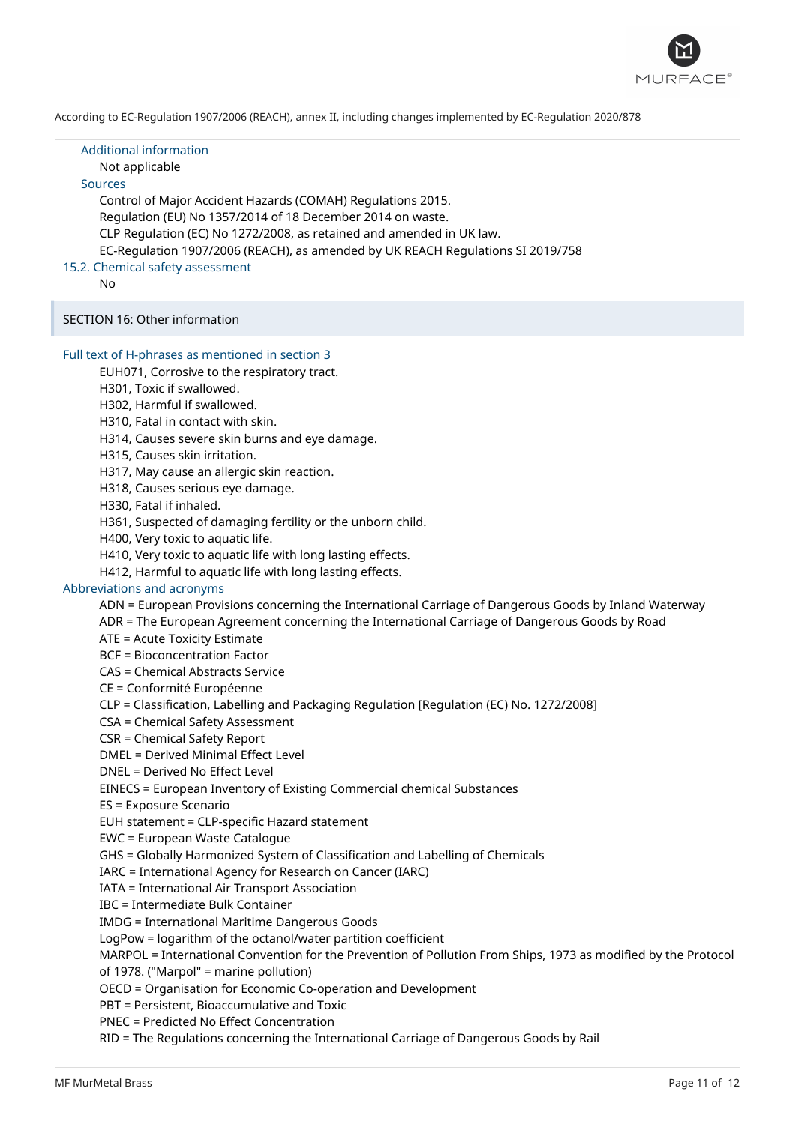

Additional information Not applicable Sources Control of Major Accident Hazards (COMAH) Regulations 2015. Regulation (EU) No 1357/2014 of 18 December 2014 on waste. CLP Regulation (EC) No 1272/2008, as retained and amended in UK law. EC-Regulation 1907/2006 (REACH), as amended by UK REACH Regulations SI 2019/758 15.2. Chemical safety assessment

No

SECTION 16: Other information

#### Full text of H-phrases as mentioned in section 3

EUH071, Corrosive to the respiratory tract.

H301, Toxic if swallowed.

H302, Harmful if swallowed.

H310, Fatal in contact with skin.

H314, Causes severe skin burns and eye damage.

H315, Causes skin irritation.

H317, May cause an allergic skin reaction.

H318, Causes serious eye damage.

H330, Fatal if inhaled.

H361, Suspected of damaging fertility or the unborn child.

H400, Very toxic to aquatic life.

H410, Very toxic to aquatic life with long lasting effects.

H412, Harmful to aquatic life with long lasting effects.

### Abbreviations and acronyms

ADN = European Provisions concerning the International Carriage of Dangerous Goods by Inland Waterway

ADR = The European Agreement concerning the International Carriage of Dangerous Goods by Road

ATE = Acute Toxicity Estimate

BCF = Bioconcentration Factor

CAS = Chemical Abstracts Service

CE = Conformité Européenne

CLP = Classification, Labelling and Packaging Regulation [Regulation (EC) No. 1272/2008]

CSA = Chemical Safety Assessment

CSR = Chemical Safety Report

DMEL = Derived Minimal Effect Level

DNEL = Derived No Effect Level

EINECS = European Inventory of Existing Commercial chemical Substances

ES = Exposure Scenario

EUH statement = CLP-specific Hazard statement

EWC = European Waste Catalogue

GHS = Globally Harmonized System of Classification and Labelling of Chemicals

IARC = International Agency for Research on Cancer (IARC)

IATA = International Air Transport Association

IBC = Intermediate Bulk Container

IMDG = International Maritime Dangerous Goods

LogPow = logarithm of the octanol/water partition coefficient

MARPOL = International Convention for the Prevention of Pollution From Ships, 1973 as modified by the Protocol

of 1978. ("Marpol" = marine pollution)

OECD = Organisation for Economic Co-operation and Development

PBT = Persistent, Bioaccumulative and Toxic

PNEC = Predicted No Effect Concentration

RID = The Regulations concerning the International Carriage of Dangerous Goods by Rail